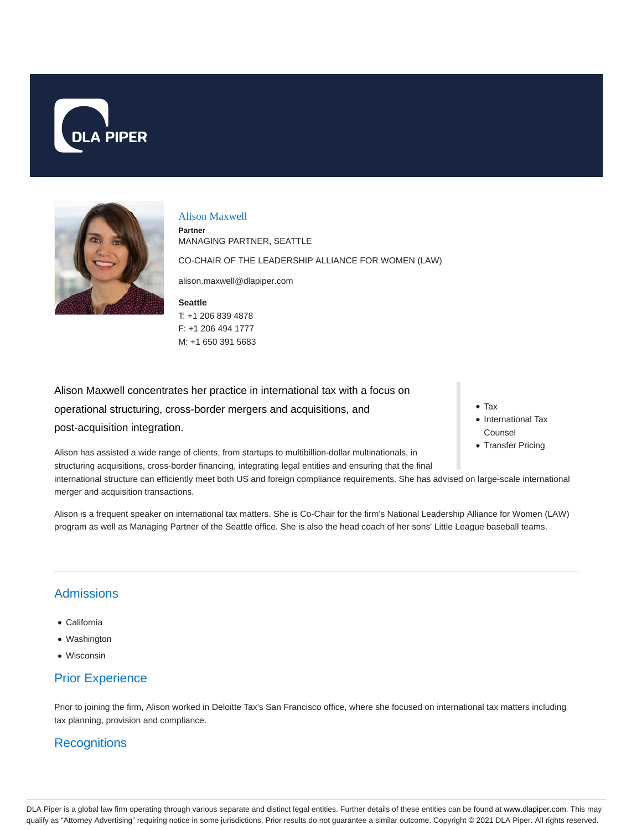



#### Alison Maxwell

F: +1 206 494 1777 M: +1 650 391 5683

**Seattle** T: +1 206 839 4878 **Partner** MANAGING PARTNER, SEATTLE CO-CHAIR OF THE LEADERSHIP ALLIANCE FOR WOMEN (LAW) alison.maxwell@dlapiper.com

Alison Maxwell concentrates her practice in international tax with a focus on operational structuring, cross-border mergers and acquisitions, and post-acquisition integration.

Alison has assisted a wide range of clients, from startups to multibillion-dollar multinationals, in structuring acquisitions, cross-border financing, integrating legal entities and ensuring that the final international structure can efficiently meet both US and foreign compliance requirements. She has advised on large-scale international merger and acquisition transactions.

Alison is a frequent speaker on international tax matters. She is Co-Chair for the firm's National Leadership Alliance for Women (LAW) program as well as Managing Partner of the Seattle office. She is also the head coach of her sons' Little League baseball teams.

# **Admissions**

- California
- Washington
- Wisconsin

# Prior Experience

Prior to joining the firm, Alison worked in Deloitte Tax's San Francisco office, where she focused on international tax matters including tax planning, provision and compliance.

# **Recognitions**

- Tax
- International Tax Counsel
- Transfer Pricing

DLA Piper is a global law firm operating through various separate and distinct legal entities. Further details of these entities can be found at www.dlapiper.com. This may qualify as "Attorney Advertising" requiring notice in some jurisdictions. Prior results do not guarantee a similar outcome. Copyright © 2021 DLA Piper. All rights reserved.